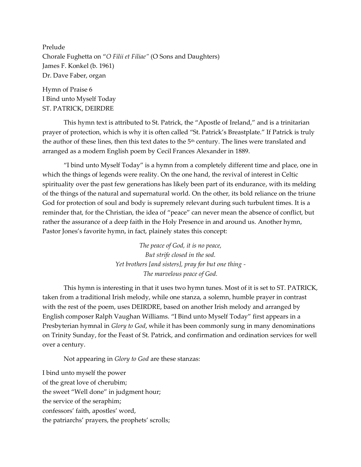Prelude Chorale Fughetta on "*O Filii et Filiae"* (O Sons and Daughters) James F. Konkel (b. 1961) Dr. Dave Faber, organ

Hymn of Praise 6 I Bind unto Myself Today ST. PATRICK, DEIRDRE

This hymn text is attributed to St. Patrick, the "Apostle of Ireland," and is a trinitarian prayer of protection, which is why it is often called "St. Patrick's Breastplate." If Patrick is truly the author of these lines, then this text dates to the  $5<sup>th</sup>$  century. The lines were translated and arranged as a modern English poem by Cecil Frances Alexander in 1889.

"I bind unto Myself Today" is a hymn from a completely different time and place, one in which the things of legends were reality. On the one hand, the revival of interest in Celtic spirituality over the past few generations has likely been part of its endurance, with its melding of the things of the natural and supernatural world. On the other, its bold reliance on the triune God for protection of soul and body is supremely relevant during such turbulent times. It is a reminder that, for the Christian, the idea of "peace" can never mean the absence of conflict, but rather the assurance of a deep faith in the Holy Presence in and around us. Another hymn, Pastor Jones's favorite hymn, in fact, plainely states this concept:

> *The peace of God, it is no peace, But strife closed in the sod. Yet brothers [and sisters], pray for but one thing - The marvelous peace of God.*

This hymn is interesting in that it uses two hymn tunes. Most of it is set to ST. PATRICK, taken from a traditional Irish melody, while one stanza, a solemn, humble prayer in contrast with the rest of the poem, uses DEIRDRE, based on another Irish melody and arranged by English composer Ralph Vaughan Williams. "I Bind unto Myself Today" first appears in a Presbyterian hymnal in *Glory to God*, while it has been commonly sung in many denominations on Trinity Sunday, for the Feast of St. Patrick, and confirmation and ordination services for well over a century.

Not appearing in *Glory to God* are these stanzas:

I bind unto myself the power of the great love of cherubim; the sweet "Well done" in judgment hour; the service of the seraphim; confessors' faith, apostles' word, the patriarchs' prayers, the prophets' scrolls;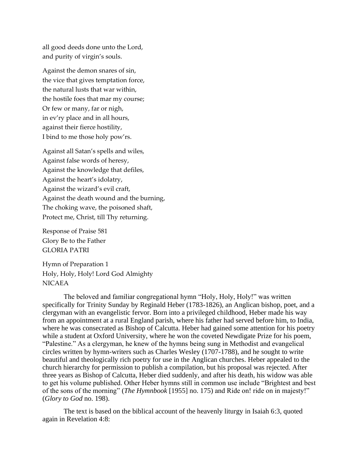all good deeds done unto the Lord, and purity of virgin's souls.

Against the demon snares of sin, the vice that gives temptation force, the natural lusts that war within, the hostile foes that mar my course; Or few or many, far or nigh, in ev'ry place and in all hours, against their fierce hostility, I bind to me those holy pow'rs.

Against all Satan's spells and wiles, Against false words of heresy, Against the knowledge that defiles, Against the heart's idolatry, Against the wizard's evil craft, Against the death wound and the burning, The choking wave, the poisoned shaft, Protect me, Christ, till Thy returning.

Response of Praise 581 Glory Be to the Father GLORIA PATRI

Hymn of Preparation 1 Holy, Holy, Holy! Lord God Almighty NICAEA

The beloved and familiar congregational hymn "Holy, Holy, Holy!" was written specifically for Trinity Sunday by Reginald Heber (1783-1826), an Anglican bishop, poet, and a clergyman with an evangelistic fervor. Born into a privileged childhood, Heber made his way from an appointment at a rural England parish, where his father had served before him, to India, where he was consecrated as Bishop of Calcutta. Heber had gained some attention for his poetry while a student at Oxford University, where he won the coveted Newdigate Prize for his poem, "Palestine." As a clergyman, he knew of the hymns being sung in Methodist and evangelical circles written by hymn-writers such as Charles Wesley (1707-1788), and he sought to write beautiful and theologically rich poetry for use in the Anglican churches. Heber appealed to the church hierarchy for permission to publish a compilation, but his proposal was rejected. After three years as Bishop of Calcutta, Heber died suddenly, and after his death, his widow was able to get his volume published. Other Heber hymns still in common use include "Brightest and best of the sons of the morning" (*The Hymnbook* [1955] no. 175) and Ride on! ride on in majesty!" (*Glory to God* no. 198).

The text is based on the biblical account of the heavenly liturgy in Isaiah 6:3, quoted again in Revelation 4:8: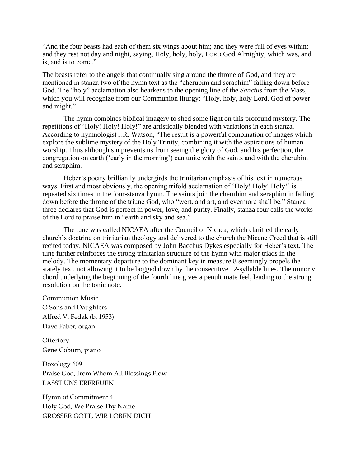"And the four beasts had each of them six wings about him; and they were full of eyes within: and they rest not day and night, saying, Holy, holy, holy, LORD God Almighty, which was, and is, and is to come."

The beasts refer to the angels that continually sing around the throne of God, and they are mentioned in stanza two of the hymn text as the "cherubim and seraphim" falling down before God. The "holy" acclamation also hearkens to the opening line of the *Sanctus* from the Mass, which you will recognize from our Communion liturgy: "Holy, holy, holy Lord, God of power and might."

The hymn combines biblical imagery to shed some light on this profound mystery. The repetitions of "Holy! Holy! Holy!" are artistically blended with variations in each stanza. According to hymnologist J.R. Watson, "The result is a powerful combination of images which explore the sublime mystery of the Holy Trinity, combining it with the aspirations of human worship. Thus although sin prevents us from seeing the glory of God, and his perfection, the congregation on earth ('early in the morning') can unite with the saints and with the cherubim and seraphim.

Heber's poetry brilliantly undergirds the trinitarian emphasis of his text in numerous ways. First and most obviously, the opening trifold acclamation of 'Holy! Holy! Holy!' is repeated six times in the four-stanza hymn. The saints join the cherubim and seraphim in falling down before the throne of the triune God, who "wert, and art, and evermore shall be." Stanza three declares that God is perfect in power, love, and purity. Finally, stanza four calls the works of the Lord to praise him in "earth and sky and sea."

The tune was called NICAEA after the Council of Nicaea, which clarified the early church's doctrine on trinitarian theology and delivered to the church the Nicene Creed that is still recited today. NICAEA was composed by John Bacchus Dykes especially for Heber's text. The tune further reinforces the strong trinitarian structure of the hymn with major triads in the melody. The momentary departure to the dominant key in measure 8 seemingly propels the stately text, not allowing it to be bogged down by the consecutive 12-syllable lines. The minor vi chord underlying the beginning of the fourth line gives a penultimate feel, leading to the strong resolution on the tonic note.

Communion Music O Sons and Daughters Alfred V. Fedak (b. 1953) Dave Faber, organ

**Offertory** Gene Coburn, piano

Doxology 609 Praise God, from Whom All Blessings Flow LASST UNS ERFREUEN

Hymn of Commitment 4 Holy God, We Praise Thy Name GROSSER GOTT, WIR LOBEN DICH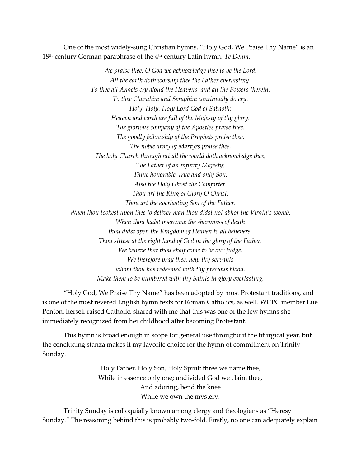One of the most widely-sung Christian hymns, "Holy God, We Praise Thy Name" is an 18<sup>th</sup>-century German paraphrase of the 4<sup>th</sup>-century Latin hymn, *Te Deum*.

> *We praise thee, O God we acknowledge thee to be the Lord. All the earth doth worship thee the Father everlasting. To thee all Angels cry aloud the Heavens, and all the Powers therein. To thee Cherubim and Seraphim continually do cry. Holy, Holy, Holy Lord God of Sabaoth; Heaven and earth are full of the Majesty of thy glory. The glorious company of the Apostles praise thee. The goodly fellowship of the Prophets praise thee. The noble army of Martyrs praise thee. The holy Church throughout all the world doth acknowledge thee; The Father of an infinity Majesty; Thine honorable, true and only Son; Also the Holy Ghost the Comforter. Thou art the King of Glory O Christ. Thou art the everlasting Son of the Father. When thou tookest upon thee to deliver man thou didst not abhor the Virgin's womb. When thou hadst overcome the sharpness of death thou didst open the Kingdom of Heaven to all believers. Thou sittest at the right hand of God in the glory of the Father. We believe that thou shalf come to be our Judge. We therefore pray thee, help thy servants whom thou has redeemed with thy precious blood. Make them to be numbered with thy Saints in glory everlasting.*

"Holy God, We Praise Thy Name" has been adopted by most Protestant traditions, and is one of the most revered English hymn texts for Roman Catholics, as well. WCPC member Lue Penton, herself raised Catholic, shared with me that this was one of the few hymns she immediately recognized from her childhood after becoming Protestant.

This hymn is broad enough in scope for general use throughout the liturgical year, but the concluding stanza makes it my favorite choice for the hymn of commitment on Trinity Sunday.

> Holy Father, Holy Son, Holy Spirit: three we name thee, While in essence only one; undivided God we claim thee, And adoring, bend the knee While we own the mystery.

Trinity Sunday is colloquially known among clergy and theologians as "Heresy Sunday." The reasoning behind this is probably two-fold. Firstly, no one can adequately explain